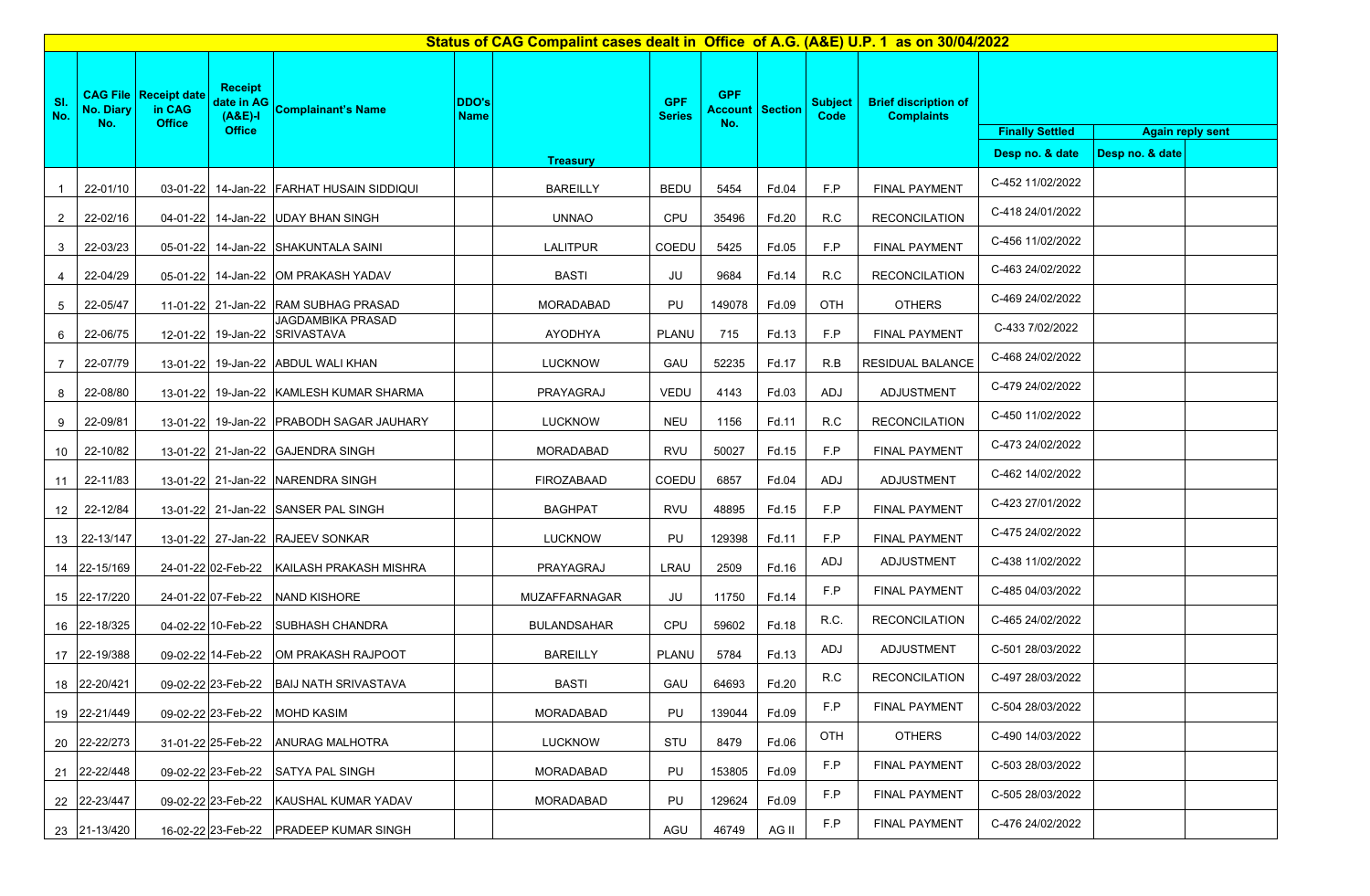| Status of CAG Compalint cases dealt in Office of A.G. (A&E) U.P. 1 as on 30/04/2022 |                  |                                                         |                                                            |                                                    |                             |                    |                             |                                             |       |                        |                                                  |                                                   |                 |  |
|-------------------------------------------------------------------------------------|------------------|---------------------------------------------------------|------------------------------------------------------------|----------------------------------------------------|-----------------------------|--------------------|-----------------------------|---------------------------------------------|-------|------------------------|--------------------------------------------------|---------------------------------------------------|-----------------|--|
| SI.<br>No.                                                                          | No. Diary<br>No. | <b>CAG File Receipt date</b><br>in CAG<br><b>Office</b> | <b>Receipt</b><br>date in AG<br>$(A&E)-I$<br><b>Office</b> | Complainant's Name                                 | <b>DDO's</b><br><b>Name</b> |                    | <b>GPF</b><br><b>Series</b> | <b>GPF</b><br><b>Account Section</b><br>No. |       | <b>Subject</b><br>Code | <b>Brief discription of</b><br><b>Complaints</b> | <b>Again reply sent</b><br><b>Finally Settled</b> |                 |  |
|                                                                                     |                  |                                                         |                                                            |                                                    |                             | <b>Treasury</b>    |                             |                                             |       |                        |                                                  | Desp no. & date                                   | Desp no. & date |  |
| -1                                                                                  | 22-01/10         |                                                         |                                                            | 03-01-22 14-Jan-22 FARHAT HUSAIN SIDDIQUI          |                             | <b>BAREILLY</b>    | <b>BEDU</b>                 | 5454                                        | Fd.04 | F.P                    | <b>FINAL PAYMENT</b>                             | C-452 11/02/2022                                  |                 |  |
| $\overline{2}$                                                                      | 22-02/16         |                                                         |                                                            | 04-01-22 14-Jan-22 UDAY BHAN SINGH                 |                             | <b>UNNAO</b>       | CPU                         | 35496                                       | Fd.20 | R.C                    | <b>RECONCILATION</b>                             | C-418 24/01/2022                                  |                 |  |
| 3                                                                                   | 22-03/23         |                                                         |                                                            | 05-01-22 14-Jan-22 SHAKUNTALA SAINI                |                             | <b>LALITPUR</b>    | COEDU                       | 5425                                        | Fd.05 | F.P                    | <b>FINAL PAYMENT</b>                             | C-456 11/02/2022                                  |                 |  |
| 4                                                                                   | 22-04/29         |                                                         |                                                            | 05-01-22 14-Jan-22 OM PRAKASH YADAV                |                             | <b>BASTI</b>       | JU                          | 9684                                        | Fd.14 | R.C                    | <b>RECONCILATION</b>                             | C-463 24/02/2022                                  |                 |  |
| 5                                                                                   | 22-05/47         |                                                         |                                                            | 11-01-22 21-Jan-22 RAM SUBHAG PRASAD               |                             | MORADABAD          | PU                          | 149078                                      | Fd.09 | OTH                    | <b>OTHERS</b>                                    | C-469 24/02/2022                                  |                 |  |
| 6                                                                                   | 22-06/75         |                                                         |                                                            | JAGDAMBIKA PRASAD<br>12-01-22 19-Jan-22 SRIVASTAVA |                             | AYODHYA            | <b>PLANU</b>                | 715                                         | Fd.13 | F.P                    | <b>FINAL PAYMENT</b>                             | C-433 7/02/2022                                   |                 |  |
|                                                                                     | 22-07/79         |                                                         |                                                            | 13-01-22 19-Jan-22 ABDUL WALI KHAN                 |                             | <b>LUCKNOW</b>     | GAU                         | 52235                                       | Fd.17 | R.B                    | <b>RESIDUAL BALANCE</b>                          | C-468 24/02/2022                                  |                 |  |
| 8                                                                                   | 22-08/80         | 13-01-22                                                |                                                            | 19-Jan-22 KAMLESH KUMAR SHARMA                     |                             | PRAYAGRAJ          | VEDU                        | 4143                                        | Fd.03 | ADJ                    | ADJUSTMENT                                       | C-479 24/02/2022                                  |                 |  |
| 9                                                                                   | 22-09/81         |                                                         |                                                            | 13-01-22 19-Jan-22 PRABODH SAGAR JAUHARY           |                             | <b>LUCKNOW</b>     | <b>NEU</b>                  | 1156                                        | Fd.11 | R.C                    | <b>RECONCILATION</b>                             | C-450 11/02/2022                                  |                 |  |
| 10                                                                                  | 22-10/82         |                                                         |                                                            | 13-01-22 21-Jan-22 GAJENDRA SINGH                  |                             | <b>MORADABAD</b>   | <b>RVU</b>                  | 50027                                       | Fd.15 | F.P                    | <b>FINAL PAYMENT</b>                             | C-473 24/02/2022                                  |                 |  |
| 11                                                                                  | 22-11/83         |                                                         |                                                            | 13-01-22 21-Jan-22 NARENDRA SINGH                  |                             | FIROZABAAD         | COEDU                       | 6857                                        | Fd.04 | ADJ                    | ADJUSTMENT                                       | C-462 14/02/2022                                  |                 |  |
| 12 <sub>2</sub>                                                                     | 22-12/84         |                                                         |                                                            | 13-01-22 21-Jan-22 SANSER PAL SINGH                |                             | <b>BAGHPAT</b>     | <b>RVU</b>                  | 48895                                       | Fd.15 | F.P                    | <b>FINAL PAYMENT</b>                             | C-423 27/01/2022                                  |                 |  |
| 13                                                                                  | 22-13/147        |                                                         |                                                            | 13-01-22 27-Jan-22 RAJEEV SONKAR                   |                             | <b>LUCKNOW</b>     | PU                          | 129398                                      | Fd.11 | F.P                    | <b>FINAL PAYMENT</b>                             | C-475 24/02/2022                                  |                 |  |
|                                                                                     | 14 22-15/169     |                                                         |                                                            | 24-01-22 02-Feb-22 KAILASH PRAKASH MISHRA          |                             | PRAYAGRAJ          | LRAU                        | 2509                                        | Fd.16 | <b>ADJ</b>             | <b>ADJUSTMENT</b>                                | C-438 11/02/2022                                  |                 |  |
|                                                                                     | 15 22-17/220     |                                                         |                                                            | 24-01-22 07-Feb-22 NAND KISHORE                    |                             | MUZAFFARNAGAR      | JU                          | 11750                                       | Fd.14 | F.P                    | <b>FINAL PAYMENT</b>                             | C-485 04/03/2022                                  |                 |  |
|                                                                                     | 16 22-18/325     |                                                         |                                                            | 04-02-22 10-Feb-22 SUBHASH CHANDRA                 |                             | <b>BULANDSAHAR</b> | CPU                         | 59602                                       | Fd.18 | R.C.                   | <b>RECONCILATION</b>                             | C-465 24/02/2022                                  |                 |  |
|                                                                                     | 17 22-19/388     |                                                         |                                                            | 09-02-22 14-Feb-22 OM PRAKASH RAJPOOT              |                             | <b>BAREILLY</b>    | PLANU                       | 5784                                        | Fd.13 | ADJ                    | ADJUSTMENT                                       | C-501 28/03/2022                                  |                 |  |
|                                                                                     | 18 22-20/421     |                                                         |                                                            | 09-02-22 23-Feb-22 BAIJ NATH SRIVASTAVA            |                             | <b>BASTI</b>       | GAU                         | 64693                                       | Fd.20 | R.C                    | <b>RECONCILATION</b>                             | C-497 28/03/2022                                  |                 |  |
|                                                                                     | 19 22-21/449     |                                                         | 09-02-22 23-Feb-22                                         | <b>MOHD KASIM</b>                                  |                             | MORADABAD          | PU                          | 139044                                      | Fd.09 | F.P                    | <b>FINAL PAYMENT</b>                             | C-504 28/03/2022                                  |                 |  |
|                                                                                     | 20 22-22/273     |                                                         | 31-01-22 25-Feb-22                                         | <b>ANURAG MALHOTRA</b>                             |                             | <b>LUCKNOW</b>     | STU                         | 8479                                        | Fd.06 | OTH                    | <b>OTHERS</b>                                    | C-490 14/03/2022                                  |                 |  |
|                                                                                     | 21 22-22/448     |                                                         |                                                            | 09-02-22 23-Feb-22 SATYA PAL SINGH                 |                             | MORADABAD          | PU                          | 153805                                      | Fd.09 | F.P                    | <b>FINAL PAYMENT</b>                             | C-503 28/03/2022                                  |                 |  |
|                                                                                     | 22 22-23/447     |                                                         | 09-02-22 23-Feb-22                                         | KAUSHAL KUMAR YADAV                                |                             | MORADABAD          | PU                          | 129624                                      | Fd.09 | F.P                    | <b>FINAL PAYMENT</b>                             | C-505 28/03/2022                                  |                 |  |
|                                                                                     | 23 21-13/420     |                                                         |                                                            | 16-02-22 23-Feb-22 PRADEEP KUMAR SINGH             |                             |                    | AGU                         | 46749                                       | AG II | F.P                    | <b>FINAL PAYMENT</b>                             | C-476 24/02/2022                                  |                 |  |